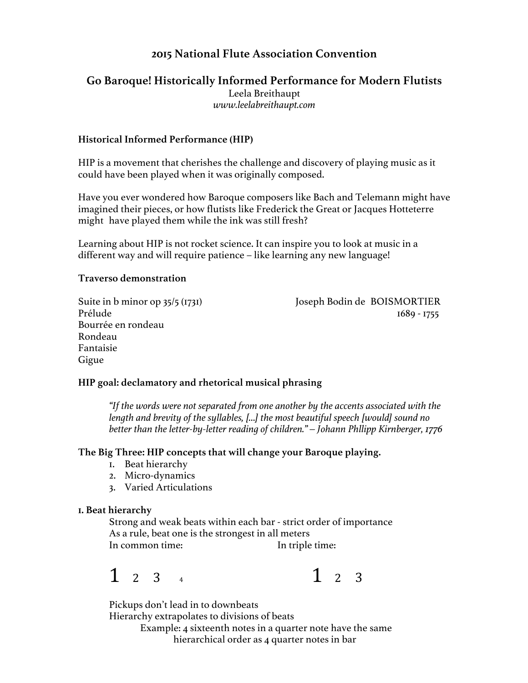## **2015 National Flute Association Convention**

# **Go Baroque! Historically Informed Performance for Modern Flutists** Leela Breithaupt

*www.leelabreithaupt.com*

## **Historical Informed Performance (HIP)**

HIP is a movement that cherishes the challenge and discovery of playing music as it could have been played when it was originally composed.

Have you ever wondered how Baroque composers like Bach and Telemann might have imagined their pieces, or how flutists like Frederick the Great or Jacques Hotteterre might have played them while the ink was still fresh?

Learning about HIP is not rocket science. It can inspire you to look at music in a different way and will require patience – like learning any new language!

## **Traverso demonstration**

Bourrée en rondeau Rondeau Fantaisie Gigue

Suite in b minor op 35/5 (1731) Joseph Bodin de BOISMORTIER Prélude 1689 - 1755

## **HIP goal: declamatory and rhetorical musical phrasing**

*"If the words were not separated from one another by the accents associated with the length and brevity of the syllables, […] the most beautiful speech [would] sound no better than the letter-by-letter reading of children." – Johann Phllipp Kirnberger, 1776*

## **The Big Three: HIP concepts that will change your Baroque playing.**

- 1. Beat hierarchy
- 2. Micro-dynamics
- 3. Varied Articulations

## **1. Beat hierarchy**

Strong and weak beats within each bar - strict order of importance As a rule, beat one is the strongest in all meters In common time: In triple time:

 $1$  2 3 4  $1$   $2$  3

Pickups don't lead in to downbeats

Hierarchy extrapolates to divisions of beats

Example: 4 sixteenth notes in a quarter note have the same hierarchical order as 4 quarter notes in bar